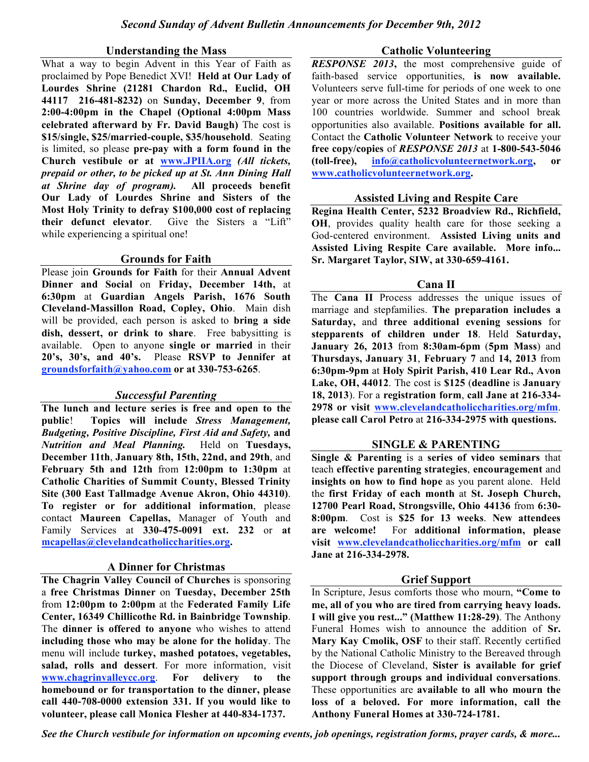#### **Understanding the Mass**

What a way to begin Advent in this Year of Faith as proclaimed by Pope Benedict XVI! **Held at Our Lady of Lourdes Shrine (21281 Chardon Rd., Euclid, OH 44117 216-481-8232)** on **Sunday, December 9**, from **2:00-4:00pm in the Chapel (Optional 4:00pm Mass celebrated afterward by Fr. David Baugh)** The cost is **\$15/single, \$25/married-couple, \$35/household**. Seating is limited, so please **pre-pay with a form found in the Church vestibule or at www.JPIIA.org** *(All tickets, prepaid or other, to be picked up at St. Ann Dining Hall at Shrine day of program).* **All proceeds benefit Our Lady of Lourdes Shrine and Sisters of the Most Holy Trinity to defray \$100,000 cost of replacing their defunct elevator**. Give the Sisters a "Lift" while experiencing a spiritual one!

### **Grounds for Faith**

Please join **Grounds for Faith** for their **Annual Advent Dinner and Social** on **Friday, December 14th,** at **6:30pm** at **Guardian Angels Parish, 1676 South Cleveland-Massillon Road, Copley, Ohio**. Main dish will be provided, each person is asked to **bring a side dish, dessert, or drink to share**. Free babysitting is available. Open to anyone **single or married** in their **20's, 30's, and 40's.** Please **RSVP to Jennifer at groundsforfaith@yahoo.com or at 330-753-6265**.

### *Successful Parenting*

**The lunch and lecture series is free and open to the public**! **Topics will include** *Stress Management, Budgeting, Positive Discipline, First Aid and Safety,* **and** *Nutrition and Meal Planning.* Held on **Tuesdays, December 11th**, **January 8th, 15th, 22nd, and 29th**, and **February 5th and 12th** from **12:00pm to 1:30pm** at **Catholic Charities of Summit County, Blessed Trinity Site (300 East Tallmadge Avenue Akron, Ohio 44310)**. **To register or for additional information**, please contact **Maureen Capellas,** Manager of Youth and Family Services at **330-475-0091 ext. 232** or **at mcapellas@clevelandcatholiccharities.org.**

### **A Dinner for Christmas**

**The Chagrin Valley Council of Churches** is sponsoring a **free Christmas Dinner** on **Tuesday, December 25th** from **12:00pm to 2:00pm** at the **Federated Family Life Center, 16349 Chillicothe Rd. in Bainbridge Township**. The **dinner is offered to anyone** who wishes to attend **including those who may be alone for the holiday**. The menu will include **turkey, mashed potatoes, vegetables, salad, rolls and dessert**. For more information, visit **www.chagrinvalleycc.org**. **For delivery to the homebound or for transportation to the dinner, please call 440-708-0000 extension 331. If you would like to volunteer, please call Monica Flesher at 440-834-1737.**

#### **Catholic Volunteering**

*RESPONSE 2013*, the most comprehensive guide of faith-based service opportunities, **is now available.** Volunteers serve full-time for periods of one week to one year or more across the United States and in more than 100 countries worldwide. Summer and school break opportunities also available. **Positions available for all.** Contact the **Catholic Volunteer Network** to receive your **free copy/copies** of *RESPONSE 2013* at **1-800-543-5046 (toll-free), info@catholicvolunteernetwork.org, or www.catholicvolunteernetwork.org.**

### **Assisted Living and Respite Care**

**Regina Health Center, 5232 Broadview Rd., Richfield, OH**, provides quality health care for those seeking a God-centered environment. **Assisted Living units and Assisted Living Respite Care available. More info... Sr. Margaret Taylor, SIW, at 330-659-4161.**

### **Cana II**

The **Cana II** Process addresses the unique issues of marriage and stepfamilies. **The preparation includes a Saturday,** and **three additional evening sessions** for **stepparents of children under 18**. Held **Saturday, January 26, 2013** from **8:30am-6pm** (**5pm Mass**) and **Thursdays, January 31**, **February 7** and **14, 2013** from **6:30pm-9pm** at **Holy Spirit Parish, 410 Lear Rd., Avon Lake, OH, 44012**. The cost is **\$125** (**deadline** is **January 18, 2013**). For a **registration form**, **call Jane at 216-334- 2978 or visit www.clevelandcatholiccharities.org/mfm**. **please call Carol Petro** at **216-334-2975 with questions.**

### **SINGLE & PARENTING**

**Single & Parenting** is a **series of video seminars** that teach **effective parenting strategies**, **encouragement** and **insights on how to find hope** as you parent alone. Held the **first Friday of each month** at **St. Joseph Church, 12700 Pearl Road, Strongsville, Ohio 44136** from **6:30- 8:00pm**. Cost is **\$25 for 13 weeks**. **New attendees are welcome!** For **additional information, please visit www.clevelandcatholiccharities.org/mfm or call Jane at 216-334-2978.**

### **Grief Support**

In Scripture, Jesus comforts those who mourn, **"Come to me, all of you who are tired from carrying heavy loads. I will give you rest..." (Matthew 11:28-29)**. The Anthony Funeral Homes wish to announce the addition of **Sr. Mary Kay Cmolik, OSF** to their staff. Recently certified by the National Catholic Ministry to the Bereaved through the Diocese of Cleveland, **Sister is available for grief support through groups and individual conversations**. These opportunities are **available to all who mourn the loss of a beloved. For more information, call the Anthony Funeral Homes at 330-724-1781.**

*See the Church vestibule for information on upcoming events, job openings, registration forms, prayer cards, & more...*